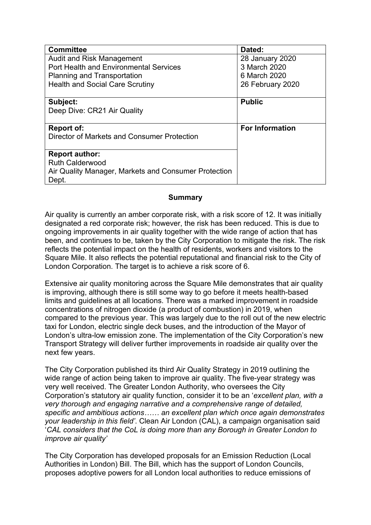| <b>Committee</b>                                     | Dated:                 |
|------------------------------------------------------|------------------------|
| <b>Audit and Risk Management</b>                     | 28 January 2020        |
| Port Health and Environmental Services               | 3 March 2020           |
| <b>Planning and Transportation</b>                   | 6 March 2020           |
| <b>Health and Social Care Scrutiny</b>               | 26 February 2020       |
|                                                      |                        |
| Subject:                                             | <b>Public</b>          |
| Deep Dive: CR21 Air Quality                          |                        |
|                                                      |                        |
| Report of:                                           | <b>For Information</b> |
| Director of Markets and Consumer Protection          |                        |
|                                                      |                        |
| <b>Report author:</b>                                |                        |
| <b>Ruth Calderwood</b>                               |                        |
| Air Quality Manager, Markets and Consumer Protection |                        |
| Dept.                                                |                        |

#### **Summary**

Air quality is currently an amber corporate risk, with a risk score of 12. It was initially designated a red corporate risk; however, the risk has been reduced. This is due to ongoing improvements in air quality together with the wide range of action that has been, and continues to be, taken by the City Corporation to mitigate the risk. The risk reflects the potential impact on the health of residents, workers and visitors to the Square Mile. It also reflects the potential reputational and financial risk to the City of London Corporation. The target is to achieve a risk score of 6.

Extensive air quality monitoring across the Square Mile demonstrates that air quality is improving, although there is still some way to go before it meets health-based limits and guidelines at all locations. There was a marked improvement in roadside concentrations of nitrogen dioxide (a product of combustion) in 2019, when compared to the previous year. This was largely due to the roll out of the new electric taxi for London, electric single deck buses, and the introduction of the Mayor of London's ultra-low emission zone. The implementation of the City Corporation's new Transport Strategy will deliver further improvements in roadside air quality over the next few years.

The City Corporation published its third Air Quality Strategy in 2019 outlining the wide range of action being taken to improve air quality. The five-year strategy was very well received. The Greater London Authority, who oversees the City Corporation's statutory air quality function, consider it to be an '*excellent plan, with a very thorough and engaging narrative and a comprehensive range of detailed, specific and ambitious actions…… an excellent plan which once again demonstrates your leadership in this field'*. Clean Air London (CAL), a campaign organisation said '*CAL considers that the CoL is doing more than any Borough in Greater London to improve air quality'*

The City Corporation has developed proposals for an Emission Reduction (Local Authorities in London) Bill. The Bill, which has the support of London Councils, proposes adoptive powers for all London local authorities to reduce emissions of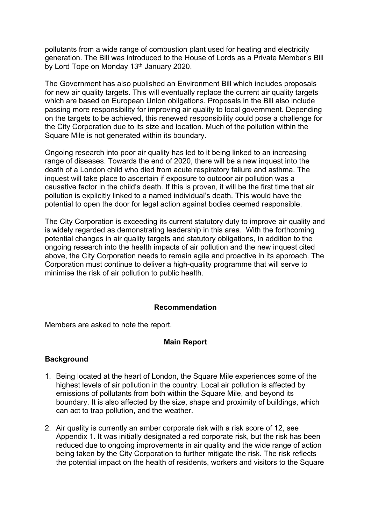pollutants from a wide range of combustion plant used for heating and electricity generation. The Bill was introduced to the House of Lords as a Private Member's Bill by Lord Tope on Monday 13<sup>th</sup> January 2020.

The Government has also published an Environment Bill which includes proposals for new air quality targets. This will eventually replace the current air quality targets which are based on European Union obligations. Proposals in the Bill also include passing more responsibility for improving air quality to local government. Depending on the targets to be achieved, this renewed responsibility could pose a challenge for the City Corporation due to its size and location. Much of the pollution within the Square Mile is not generated within its boundary.

Ongoing research into poor air quality has led to it being linked to an increasing range of diseases. Towards the end of 2020, there will be a new inquest into the death of a London child who died from acute respiratory failure and asthma. The inquest will take place to ascertain if exposure to outdoor air pollution was a causative factor in the child's death. If this is proven, it will be the first time that air pollution is explicitly linked to a named individual's death. This would have the potential to open the door for legal action against bodies deemed responsible.

The City Corporation is exceeding its current statutory duty to improve air quality and is widely regarded as demonstrating leadership in this area. With the forthcoming potential changes in air quality targets and statutory obligations, in addition to the ongoing research into the health impacts of air pollution and the new inquest cited above, the City Corporation needs to remain agile and proactive in its approach. The Corporation must continue to deliver a high-quality programme that will serve to minimise the risk of air pollution to public health.

#### **Recommendation**

Members are asked to note the report.

#### **Main Report**

#### **Background**

- 1. Being located at the heart of London, the Square Mile experiences some of the highest levels of air pollution in the country. Local air pollution is affected by emissions of pollutants from both within the Square Mile, and beyond its boundary. It is also affected by the size, shape and proximity of buildings, which can act to trap pollution, and the weather.
- 2. Air quality is currently an amber corporate risk with a risk score of 12, see Appendix 1. It was initially designated a red corporate risk, but the risk has been reduced due to ongoing improvements in air quality and the wide range of action being taken by the City Corporation to further mitigate the risk. The risk reflects the potential impact on the health of residents, workers and visitors to the Square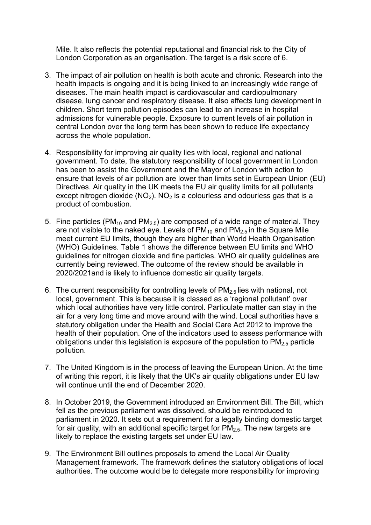Mile. It also reflects the potential reputational and financial risk to the City of London Corporation as an organisation. The target is a risk score of 6.

- 3. The impact of air pollution on health is both acute and chronic. Research into the health impacts is ongoing and it is being linked to an increasingly wide range of diseases. The main health impact is cardiovascular and cardiopulmonary disease, lung cancer and respiratory disease. It also affects lung development in children. Short term pollution episodes can lead to an increase in hospital admissions for vulnerable people. Exposure to current levels of air pollution in central London over the long term has been shown to reduce life expectancy across the whole population.
- 4. Responsibility for improving air quality lies with local, regional and national government. To date, the statutory responsibility of local government in London has been to assist the Government and the Mayor of London with action to ensure that levels of air pollution are lower than limits set in European Union (EU) Directives. Air quality in the UK meets the EU air quality limits for all pollutants except nitrogen dioxide ( $NO<sub>2</sub>$ ).  $NO<sub>2</sub>$  is a colourless and odourless gas that is a product of combustion.
- 5. Fine particles (PM<sub>10</sub> and PM<sub>2.5</sub>) are composed of a wide range of material. They are not visible to the naked eye. Levels of  $PM_{10}$  and  $PM_{2.5}$  in the Square Mile meet current EU limits, though they are higher than World Health Organisation (WHO) Guidelines. Table 1 shows the difference between EU limits and WHO guidelines for nitrogen dioxide and fine particles. WHO air quality guidelines are currently being reviewed. The outcome of the review should be available in 2020/2021and is likely to influence domestic air quality targets.
- 6. The current responsibility for controlling levels of  $PM<sub>2.5</sub>$  lies with national, not local, government. This is because it is classed as a 'regional pollutant' over which local authorities have very little control. Particulate matter can stay in the air for a very long time and move around with the wind. Local authorities have a statutory obligation under the Health and Social Care Act 2012 to improve the health of their population. One of the indicators used to assess performance with obligations under this legislation is exposure of the population to  $PM<sub>2.5</sub>$  particle pollution.
- 7. The United Kingdom is in the process of leaving the European Union. At the time of writing this report, it is likely that the UK's air quality obligations under EU law will continue until the end of December 2020.
- 8. In October 2019, the Government introduced an Environment Bill. The Bill, which fell as the previous parliament was dissolved, should be reintroduced to parliament in 2020. It sets out a requirement for a legally binding domestic target for air quality, with an additional specific target for  $PM_{2.5}$ . The new targets are likely to replace the existing targets set under EU law.
- 9. The Environment Bill outlines proposals to amend the Local Air Quality Management framework. The framework defines the statutory obligations of local authorities. The outcome would be to delegate more responsibility for improving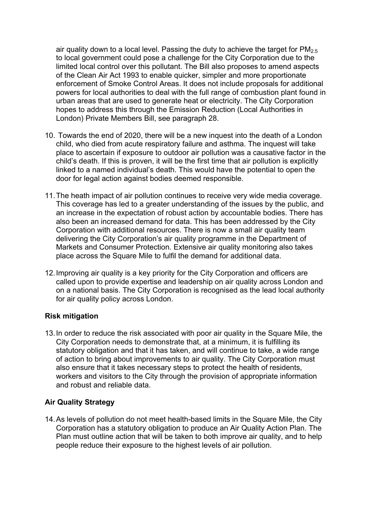air quality down to a local level. Passing the duty to achieve the target for  $PM_{2.5}$ to local government could pose a challenge for the City Corporation due to the limited local control over this pollutant. The Bill also proposes to amend aspects of the Clean Air Act 1993 to enable quicker, simpler and more proportionate enforcement of Smoke Control Areas. It does not include proposals for additional powers for local authorities to deal with the full range of combustion plant found in urban areas that are used to generate heat or electricity. The City Corporation hopes to address this through the Emission Reduction (Local Authorities in London) Private Members Bill, see paragraph 28.

- 10. Towards the end of 2020, there will be a new inquest into the death of a London child, who died from acute respiratory failure and asthma. The inquest will take place to ascertain if exposure to outdoor air pollution was a causative factor in the child's death. If this is proven, it will be the first time that air pollution is explicitly linked to a named individual's death. This would have the potential to open the door for legal action against bodies deemed responsible.
- 11.The heath impact of air pollution continues to receive very wide media coverage. This coverage has led to a greater understanding of the issues by the public, and an increase in the expectation of robust action by accountable bodies. There has also been an increased demand for data. This has been addressed by the City Corporation with additional resources. There is now a small air quality team delivering the City Corporation's air quality programme in the Department of Markets and Consumer Protection. Extensive air quality monitoring also takes place across the Square Mile to fulfil the demand for additional data.
- 12.Improving air quality is a key priority for the City Corporation and officers are called upon to provide expertise and leadership on air quality across London and on a national basis. The City Corporation is recognised as the lead local authority for air quality policy across London.

## **Risk mitigation**

13.In order to reduce the risk associated with poor air quality in the Square Mile, the City Corporation needs to demonstrate that, at a minimum, it is fulfilling its statutory obligation and that it has taken, and will continue to take, a wide range of action to bring about improvements to air quality. The City Corporation must also ensure that it takes necessary steps to protect the health of residents, workers and visitors to the City through the provision of appropriate information and robust and reliable data.

## **Air Quality Strategy**

14.As levels of pollution do not meet health-based limits in the Square Mile, the City Corporation has a statutory obligation to produce an Air Quality Action Plan. The Plan must outline action that will be taken to both improve air quality, and to help people reduce their exposure to the highest levels of air pollution.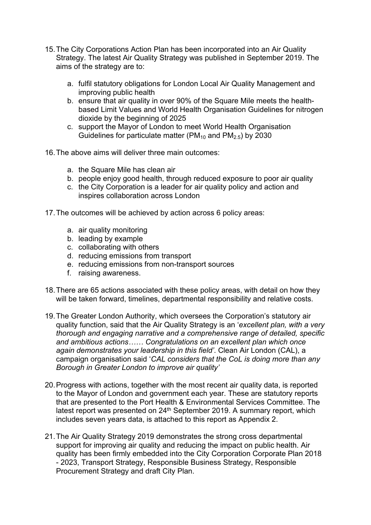- 15.The City Corporations Action Plan has been incorporated into an Air Quality Strategy. The latest Air Quality Strategy was published in September 2019. The aims of the strategy are to:
	- a. fulfil statutory obligations for London Local Air Quality Management and improving public health
	- b. ensure that air quality in over 90% of the Square Mile meets the healthbased Limit Values and World Health Organisation Guidelines for nitrogen dioxide by the beginning of 2025
	- c. support the Mayor of London to meet World Health Organisation Guidelines for particulate matter (PM<sub>10</sub> and PM<sub>2.5</sub>) by 2030
- 16.The above aims will deliver three main outcomes:
	- a. the Square Mile has clean air
	- b. people enjoy good health, through reduced exposure to poor air quality
	- c. the City Corporation is a leader for air quality policy and action and inspires collaboration across London
- 17.The outcomes will be achieved by action across 6 policy areas:
	- a. air quality monitoring
	- b. leading by example
	- c. collaborating with others
	- d. reducing emissions from transport
	- e. reducing emissions from non-transport sources
	- f. raising awareness.
- 18.There are 65 actions associated with these policy areas, with detail on how they will be taken forward, timelines, departmental responsibility and relative costs.
- 19.The Greater London Authority, which oversees the Corporation's statutory air quality function, said that the Air Quality Strategy is an '*excellent plan, with a very thorough and engaging narrative and a comprehensive range of detailed, specific and ambitious actions…… Congratulations on an excellent plan which once again demonstrates your leadership in this field'*. Clean Air London (CAL), a campaign organisation said '*CAL considers that the CoL is doing more than any Borough in Greater London to improve air quality'*
- 20.Progress with actions, together with the most recent air quality data, is reported to the Mayor of London and government each year. These are statutory reports that are presented to the Port Health & Environmental Services Committee. The latest report was presented on 24th September 2019. A summary report, which includes seven years data, is attached to this report as Appendix 2.
- 21.The Air Quality Strategy 2019 demonstrates the strong cross departmental support for improving air quality and reducing the impact on public health. Air quality has been firmly embedded into the City Corporation Corporate Plan 2018 - 2023, Transport Strategy, Responsible Business Strategy, Responsible Procurement Strategy and draft City Plan.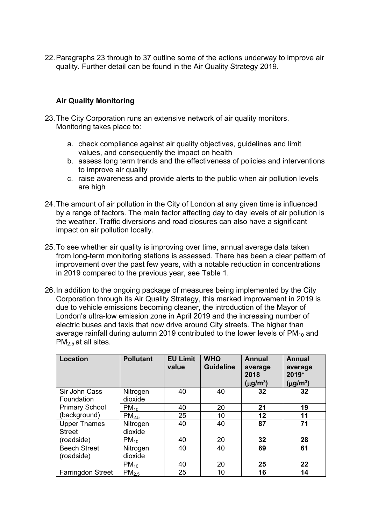22.Paragraphs 23 through to 37 outline some of the actions underway to improve air quality. Further detail can be found in the Air Quality Strategy 2019.

#### **Air Quality Monitoring**

- 23.The City Corporation runs an extensive network of air quality monitors. Monitoring takes place to:
	- a. check compliance against air quality objectives, guidelines and limit values, and consequently the impact on health
	- b. assess long term trends and the effectiveness of policies and interventions to improve air quality
	- c. raise awareness and provide alerts to the public when air pollution levels are high
- 24.The amount of air pollution in the City of London at any given time is influenced by a range of factors. The main factor affecting day to day levels of air pollution is the weather. Traffic diversions and road closures can also have a significant impact on air pollution locally.
- 25.To see whether air quality is improving over time, annual average data taken from long-term monitoring stations is assessed. There has been a clear pattern of improvement over the past few years, with a notable reduction in concentrations in 2019 compared to the previous year, see Table 1.
- 26.In addition to the ongoing package of measures being implemented by the City Corporation through its Air Quality Strategy, this marked improvement in 2019 is due to vehicle emissions becoming cleaner, the introduction of the Mayor of London's ultra-low emission zone in April 2019 and the increasing number of electric buses and taxis that now drive around City streets. The higher than average rainfall during autumn 2019 contributed to the lower levels of  $PM_{10}$  and  $PM<sub>2.5</sub>$  at all sites.

| <b>Location</b>                      | <b>Pollutant</b>    | <b>EU Limit</b><br>value | <b>WHO</b><br><b>Guideline</b> | <b>Annual</b><br>average<br>2018<br>(µg/m <sup>3</sup> ) | <b>Annual</b><br>average<br>2019*<br>$(\mu g/m^3)$ |
|--------------------------------------|---------------------|--------------------------|--------------------------------|----------------------------------------------------------|----------------------------------------------------|
| Sir John Cass<br>Foundation          | Nitrogen<br>dioxide | 40                       | 40                             | 32                                                       | 32                                                 |
| <b>Primary School</b>                | $PM_{10}$           | 40                       | 20                             | 21                                                       | 19                                                 |
| (background)                         | PM <sub>2.5</sub>   | 25                       | 10                             | 12                                                       | 11                                                 |
| <b>Upper Thames</b><br><b>Street</b> | Nitrogen<br>dioxide | 40                       | 40                             | 87                                                       | 71                                                 |
| (roadside)                           | $PM_{10}$           | 40                       | 20                             | 32                                                       | 28                                                 |
| <b>Beech Street</b><br>(roadside)    | Nitrogen<br>dioxide | 40                       | 40                             | 69                                                       | 61                                                 |
|                                      | $PM_{10}$           | 40                       | 20                             | 25                                                       | 22                                                 |
| <b>Farringdon Street</b>             | PM <sub>2.5</sub>   | 25                       | 10                             | 16                                                       | 14                                                 |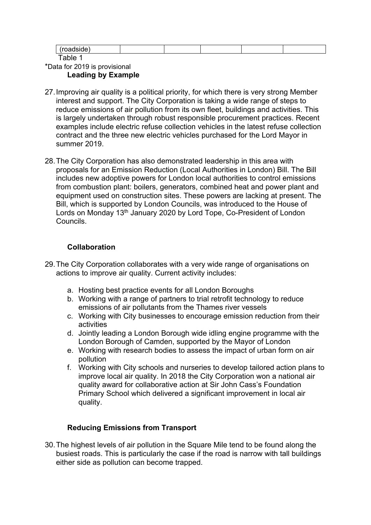#### Table 1 \*Data for 2019 is provisional **Leading by Example**

- 27.Improving air quality is a political priority, for which there is very strong Member interest and support. The City Corporation is taking a wide range of steps to reduce emissions of air pollution from its own fleet, buildings and activities. This is largely undertaken through robust responsible procurement practices. Recent examples include electric refuse collection vehicles in the latest refuse collection contract and the three new electric vehicles purchased for the Lord Mayor in summer 2019.
- 28.The City Corporation has also demonstrated leadership in this area with proposals for an Emission Reduction (Local Authorities in London) Bill. The Bill includes new adoptive powers for London local authorities to control emissions from combustion plant: boilers, generators, combined heat and power plant and equipment used on construction sites. These powers are lacking at present. The Bill, which is supported by London Councils, was introduced to the House of Lords on Monday 13<sup>th</sup> January 2020 by Lord Tope, Co-President of London Councils.

# **Collaboration**

- 29.The City Corporation collaborates with a very wide range of organisations on actions to improve air quality. Current activity includes:
	- a. Hosting best practice events for all London Boroughs
	- b. Working with a range of partners to trial retrofit technology to reduce emissions of air pollutants from the Thames river vessels
	- c. Working with City businesses to encourage emission reduction from their activities
	- d. Jointly leading a London Borough wide idling engine programme with the London Borough of Camden, supported by the Mayor of London
	- e. Working with research bodies to assess the impact of urban form on air pollution
	- f. Working with City schools and nurseries to develop tailored action plans to improve local air quality. In 2018 the City Corporation won a national air quality award for collaborative action at Sir John Cass's Foundation Primary School which delivered a significant improvement in local air quality.

## **Reducing Emissions from Transport**

30.The highest levels of air pollution in the Square Mile tend to be found along the busiest roads. This is particularly the case if the road is narrow with tall buildings either side as pollution can become trapped.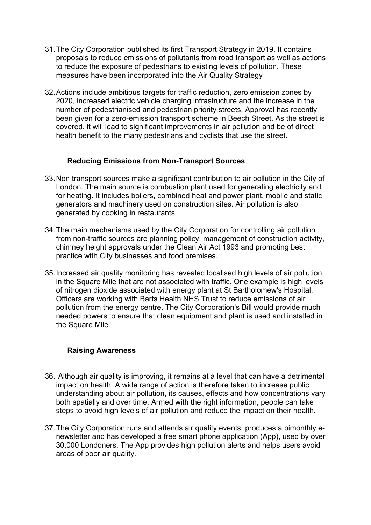- 31.The City Corporation published its first Transport Strategy in 2019. It contains proposals to reduce emissions of pollutants from road transport as well as actions to reduce the exposure of pedestrians to existing levels of pollution. These measures have been incorporated into the Air Quality Strategy
- 32.Actions include ambitious targets for traffic reduction, zero emission zones by 2020, increased electric vehicle charging infrastructure and the increase in the number of pedestrianised and pedestrian priority streets. Approval has recently been given for a zero-emission transport scheme in Beech Street. As the street is covered, it will lead to significant improvements in air pollution and be of direct health benefit to the many pedestrians and cyclists that use the street.

## **Reducing Emissions from Non-Transport Sources**

- 33.Non transport sources make a significant contribution to air pollution in the City of London. The main source is combustion plant used for generating electricity and for heating. It includes boilers, combined heat and power plant, mobile and static generators and machinery used on construction sites. Air pollution is also generated by cooking in restaurants.
- 34.The main mechanisms used by the City Corporation for controlling air pollution from non-traffic sources are planning policy, management of construction activity, chimney height approvals under the Clean Air Act 1993 and promoting best practice with City businesses and food premises.
- 35.Increased air quality monitoring has revealed localised high levels of air pollution in the Square Mile that are not associated with traffic. One example is high levels of nitrogen dioxide associated with energy plant at St Bartholomew's Hospital. Officers are working with Barts Health NHS Trust to reduce emissions of air pollution from the energy centre. The City Corporation's Bill would provide much needed powers to ensure that clean equipment and plant is used and installed in the Square Mile.

#### **Raising Awareness**

- 36. Although air quality is improving, it remains at a level that can have a detrimental impact on health. A wide range of action is therefore taken to increase public understanding about air pollution, its causes, effects and how concentrations vary both spatially and over time. Armed with the right information, people can take steps to avoid high levels of air pollution and reduce the impact on their health.
- 37.The City Corporation runs and attends air quality events, produces a bimonthly enewsletter and has developed a free smart phone application (App), used by over 30,000 Londoners. The App provides high pollution alerts and helps users avoid areas of poor air quality.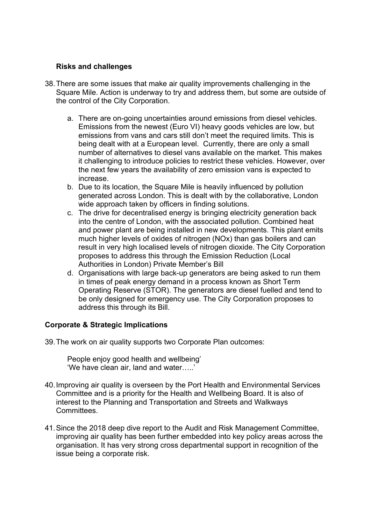#### **Risks and challenges**

- 38.There are some issues that make air quality improvements challenging in the Square Mile. Action is underway to try and address them, but some are outside of the control of the City Corporation.
	- a. There are on-going uncertainties around emissions from diesel vehicles. Emissions from the newest (Euro VI) heavy goods vehicles are low, but emissions from vans and cars still don't meet the required limits. This is being dealt with at a European level. Currently, there are only a small number of alternatives to diesel vans available on the market. This makes it challenging to introduce policies to restrict these vehicles. However, over the next few years the availability of zero emission vans is expected to increase.
	- b. Due to its location, the Square Mile is heavily influenced by pollution generated across London. This is dealt with by the collaborative, London wide approach taken by officers in finding solutions.
	- c. The drive for decentralised energy is bringing electricity generation back into the centre of London, with the associated pollution. Combined heat and power plant are being installed in new developments. This plant emits much higher levels of oxides of nitrogen (NOx) than gas boilers and can result in very high localised levels of nitrogen dioxide. The City Corporation proposes to address this through the Emission Reduction (Local Authorities in London) Private Member's Bill
	- d. Organisations with large back-up generators are being asked to run them in times of peak energy demand in a process known as Short Term Operating Reserve (STOR). The generators are diesel fuelled and tend to be only designed for emergency use. The City Corporation proposes to address this through its Bill.

## **Corporate & Strategic Implications**

39.The work on air quality supports two Corporate Plan outcomes:

People enjoy good health and wellbeing' 'We have clean air, land and water…..'

- 40.Improving air quality is overseen by the Port Health and Environmental Services Committee and is a priority for the Health and Wellbeing Board. It is also of interest to the Planning and Transportation and Streets and Walkways Committees.
- 41.Since the 2018 deep dive report to the Audit and Risk Management Committee, improving air quality has been further embedded into key policy areas across the organisation. It has very strong cross departmental support in recognition of the issue being a corporate risk.